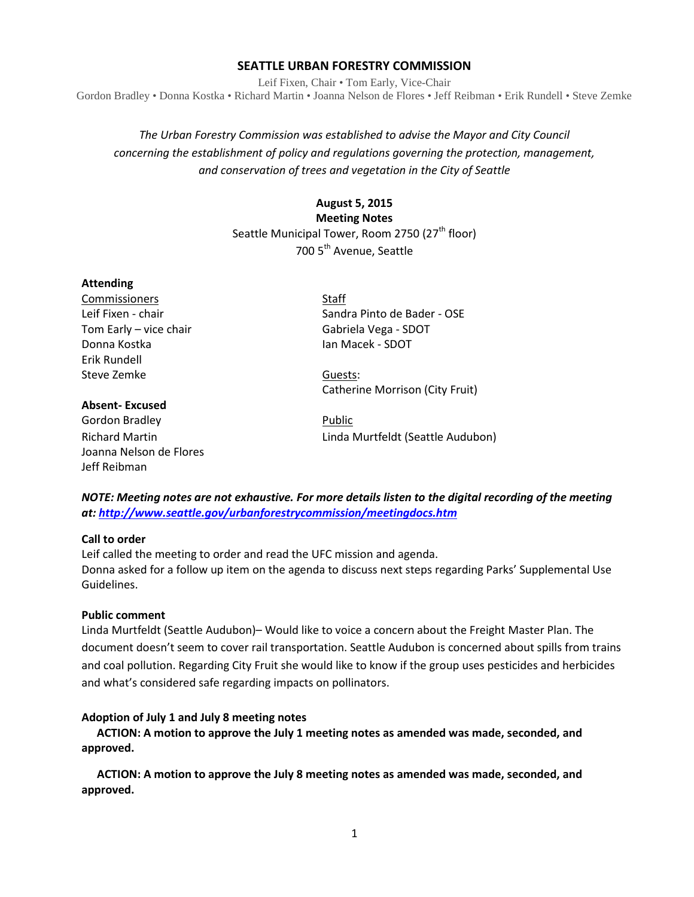## **SEATTLE URBAN FORESTRY COMMISSION**

Leif Fixen, Chair • Tom Early, Vice-Chair Gordon Bradley • Donna Kostka • Richard Martin • Joanna Nelson de Flores • Jeff Reibman • Erik Rundell • Steve Zemke

*The Urban Forestry Commission was established to advise the Mayor and City Council concerning the establishment of policy and regulations governing the protection, management, and conservation of trees and vegetation in the City of Seattle*

# **August 5, 2015**

**Meeting Notes**

Seattle Municipal Tower, Room 2750 (27<sup>th</sup> floor) 700 5th Avenue, Seattle

#### **Attending**

Commissioners Staff Donna Kostka **Ian Macek - SDOT** Erik Rundell Steve Zemke Guests:

#### **Absent- Excused**

Gordon Bradley **Public** Joanna Nelson de Flores Jeff Reibman

Leif Fixen - chair Sandra Pinto de Bader - OSE Tom Early – vice chair Gabriela Vega - SDOT

Catherine Morrison (City Fruit)

Richard Martin Linda Murtfeldt (Seattle Audubon)

*NOTE: Meeting notes are not exhaustive. For more details listen to the digital recording of the meeting at:<http://www.seattle.gov/urbanforestrycommission/meetingdocs.htm>*

## **Call to order**

Leif called the meeting to order and read the UFC mission and agenda. Donna asked for a follow up item on the agenda to discuss next steps regarding Parks' Supplemental Use Guidelines.

#### **Public comment**

Linda Murtfeldt (Seattle Audubon)– Would like to voice a concern about the Freight Master Plan. The document doesn't seem to cover rail transportation. Seattle Audubon is concerned about spills from trains and coal pollution. Regarding City Fruit she would like to know if the group uses pesticides and herbicides and what's considered safe regarding impacts on pollinators.

## **Adoption of July 1 and July 8 meeting notes**

**ACTION: A motion to approve the July 1 meeting notes as amended was made, seconded, and approved.** 

**ACTION: A motion to approve the July 8 meeting notes as amended was made, seconded, and approved.**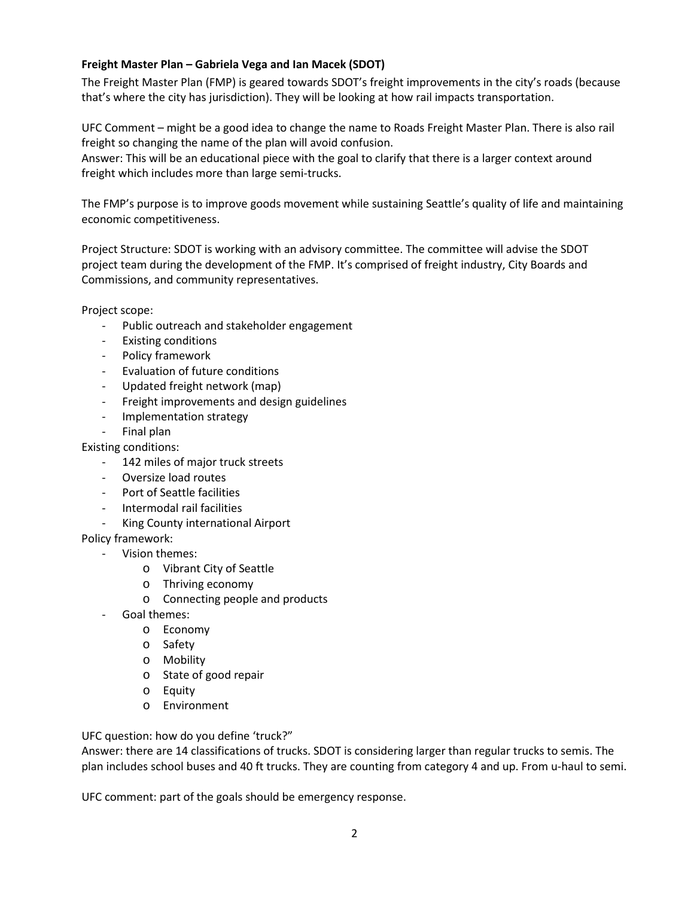# **Freight Master Plan – Gabriela Vega and Ian Macek (SDOT)**

The Freight Master Plan (FMP) is geared towards SDOT's freight improvements in the city's roads (because that's where the city has jurisdiction). They will be looking at how rail impacts transportation.

UFC Comment – might be a good idea to change the name to Roads Freight Master Plan. There is also rail freight so changing the name of the plan will avoid confusion.

Answer: This will be an educational piece with the goal to clarify that there is a larger context around freight which includes more than large semi-trucks.

The FMP's purpose is to improve goods movement while sustaining Seattle's quality of life and maintaining economic competitiveness.

Project Structure: SDOT is working with an advisory committee. The committee will advise the SDOT project team during the development of the FMP. It's comprised of freight industry, City Boards and Commissions, and community representatives.

Project scope:

- Public outreach and stakeholder engagement
- Existing conditions
- Policy framework
- Evaluation of future conditions
- Updated freight network (map)
- Freight improvements and design guidelines
- Implementation strategy
- Final plan

Existing conditions:

- 142 miles of major truck streets
- Oversize load routes
- Port of Seattle facilities
- Intermodal rail facilities
- King County international Airport

# Policy framework:

- Vision themes:
	- o Vibrant City of Seattle
	- o Thriving economy
	- o Connecting people and products
- Goal themes:
	- o Economy
	- o Safety
	- o Mobility
	- o State of good repair
	- o Equity
	- o Environment

UFC question: how do you define 'truck?"

Answer: there are 14 classifications of trucks. SDOT is considering larger than regular trucks to semis. The plan includes school buses and 40 ft trucks. They are counting from category 4 and up. From u-haul to semi.

UFC comment: part of the goals should be emergency response.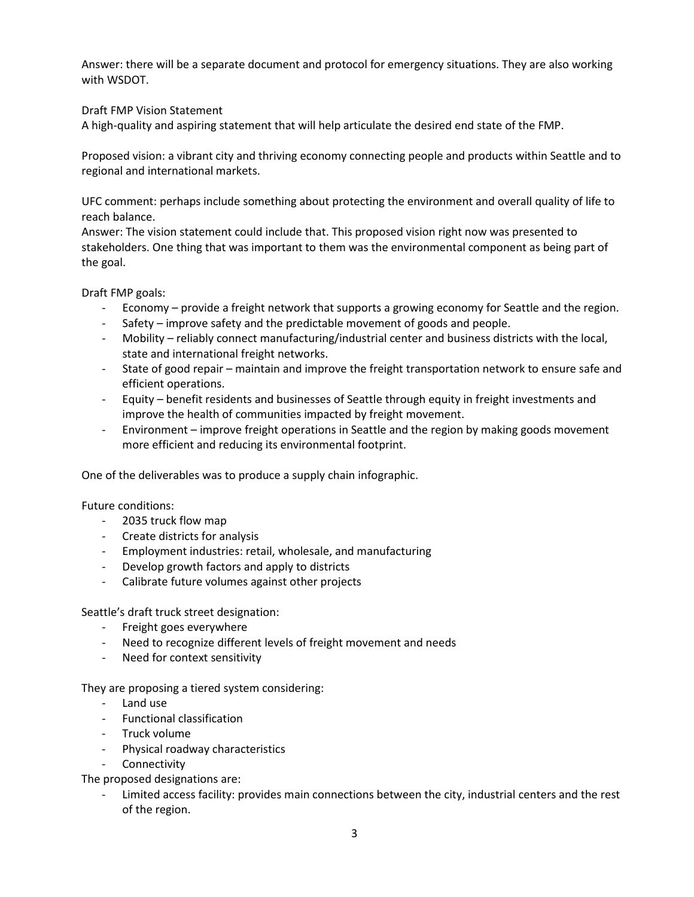Answer: there will be a separate document and protocol for emergency situations. They are also working with WSDOT.

# Draft FMP Vision Statement

A high-quality and aspiring statement that will help articulate the desired end state of the FMP.

Proposed vision: a vibrant city and thriving economy connecting people and products within Seattle and to regional and international markets.

UFC comment: perhaps include something about protecting the environment and overall quality of life to reach balance.

Answer: The vision statement could include that. This proposed vision right now was presented to stakeholders. One thing that was important to them was the environmental component as being part of the goal.

Draft FMP goals:

- Economy provide a freight network that supports a growing economy for Seattle and the region.
- Safety improve safety and the predictable movement of goods and people.
- Mobility reliably connect manufacturing/industrial center and business districts with the local, state and international freight networks.
- State of good repair maintain and improve the freight transportation network to ensure safe and efficient operations.
- Equity benefit residents and businesses of Seattle through equity in freight investments and improve the health of communities impacted by freight movement.
- Environment improve freight operations in Seattle and the region by making goods movement more efficient and reducing its environmental footprint.

One of the deliverables was to produce a supply chain infographic.

# Future conditions:

- 2035 truck flow map
- Create districts for analysis
- Employment industries: retail, wholesale, and manufacturing
- Develop growth factors and apply to districts
- Calibrate future volumes against other projects

Seattle's draft truck street designation:

- Freight goes everywhere
- Need to recognize different levels of freight movement and needs
- Need for context sensitivity

They are proposing a tiered system considering:

- Land use
- Functional classification
- Truck volume
- Physical roadway characteristics
- Connectivity

The proposed designations are:

- Limited access facility: provides main connections between the city, industrial centers and the rest of the region.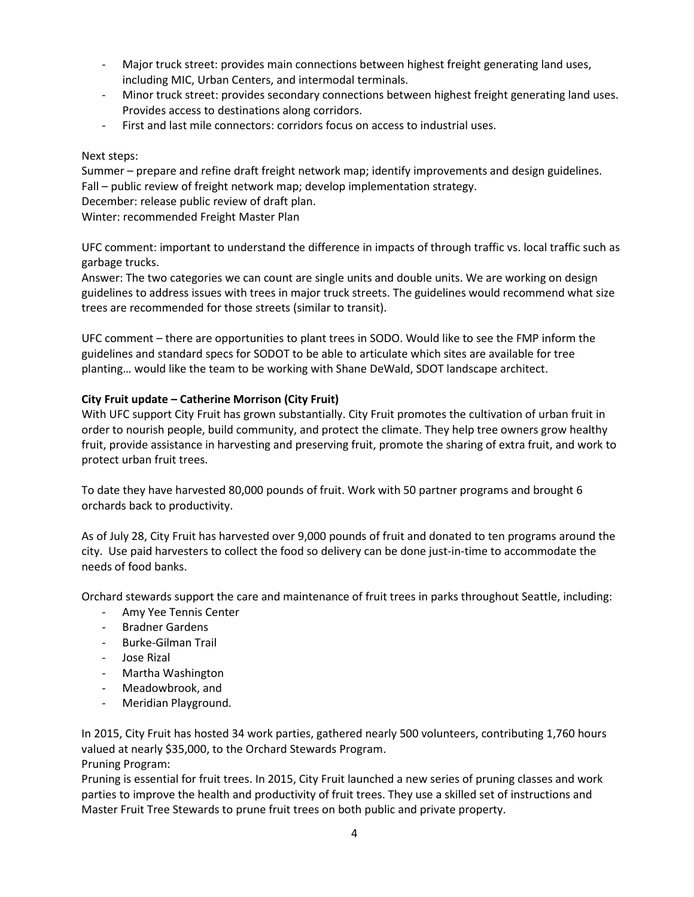- Major truck street: provides main connections between highest freight generating land uses, including MIC, Urban Centers, and intermodal terminals.
- Minor truck street: provides secondary connections between highest freight generating land uses. Provides access to destinations along corridors.
- First and last mile connectors: corridors focus on access to industrial uses.

# Next steps:

Summer – prepare and refine draft freight network map; identify improvements and design guidelines. Fall – public review of freight network map; develop implementation strategy.

December: release public review of draft plan.

Winter: recommended Freight Master Plan

UFC comment: important to understand the difference in impacts of through traffic vs. local traffic such as garbage trucks.

Answer: The two categories we can count are single units and double units. We are working on design guidelines to address issues with trees in major truck streets. The guidelines would recommend what size trees are recommended for those streets (similar to transit).

UFC comment – there are opportunities to plant trees in SODO. Would like to see the FMP inform the guidelines and standard specs for SODOT to be able to articulate which sites are available for tree planting… would like the team to be working with Shane DeWald, SDOT landscape architect.

# **City Fruit update – Catherine Morrison (City Fruit)**

With UFC support City Fruit has grown substantially. City Fruit promotes the cultivation of urban fruit in order to nourish people, build community, and protect the climate. They help tree owners grow healthy fruit, provide assistance in harvesting and preserving fruit, promote the sharing of extra fruit, and work to protect urban fruit trees.

To date they have harvested 80,000 pounds of fruit. Work with 50 partner programs and brought 6 orchards back to productivity.

As of July 28, City Fruit has harvested over 9,000 pounds of fruit and donated to ten programs around the city. Use paid harvesters to collect the food so delivery can be done just-in-time to accommodate the needs of food banks.

Orchard stewards support the care and maintenance of fruit trees in parks throughout Seattle, including:

- Amy Yee Tennis Center
- Bradner Gardens
- Burke-Gilman Trail
- Jose Rizal
- Martha Washington
- Meadowbrook, and
- Meridian Playground.

In 2015, City Fruit has hosted 34 work parties, gathered nearly 500 volunteers, contributing 1,760 hours valued at nearly \$35,000, to the Orchard Stewards Program.

Pruning Program:

Pruning is essential for fruit trees. In 2015, City Fruit launched a new series of pruning classes and work parties to improve the health and productivity of fruit trees. They use a skilled set of instructions and Master Fruit Tree Stewards to prune fruit trees on both public and private property.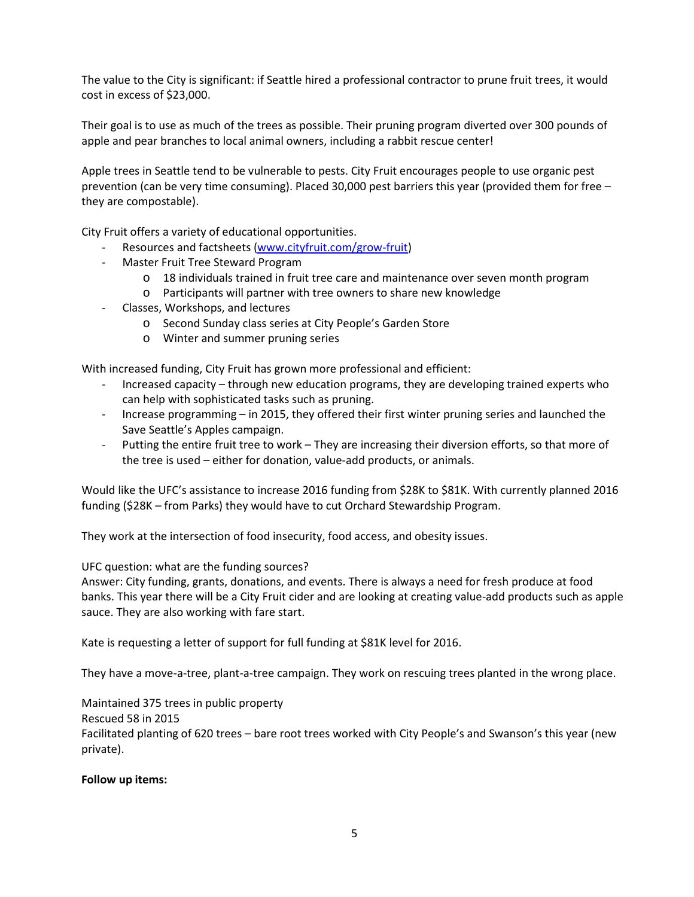The value to the City is significant: if Seattle hired a professional contractor to prune fruit trees, it would cost in excess of \$23,000.

Their goal is to use as much of the trees as possible. Their pruning program diverted over 300 pounds of apple and pear branches to local animal owners, including a rabbit rescue center!

Apple trees in Seattle tend to be vulnerable to pests. City Fruit encourages people to use organic pest prevention (can be very time consuming). Placed 30,000 pest barriers this year (provided them for free – they are compostable).

City Fruit offers a variety of educational opportunities.

- Resources and factsheets [\(www.cityfruit.com/grow-fruit\)](http://www.cityfruit.com/grow-fruit)
- Master Fruit Tree Steward Program
	- o 18 individuals trained in fruit tree care and maintenance over seven month program
	- o Participants will partner with tree owners to share new knowledge
- Classes, Workshops, and lectures
	- o Second Sunday class series at City People's Garden Store
	- o Winter and summer pruning series

With increased funding, City Fruit has grown more professional and efficient:

- Increased capacity through new education programs, they are developing trained experts who can help with sophisticated tasks such as pruning.
- Increase programming in 2015, they offered their first winter pruning series and launched the Save Seattle's Apples campaign.
- Putting the entire fruit tree to work They are increasing their diversion efforts, so that more of the tree is used – either for donation, value-add products, or animals.

Would like the UFC's assistance to increase 2016 funding from \$28K to \$81K. With currently planned 2016 funding (\$28K – from Parks) they would have to cut Orchard Stewardship Program.

They work at the intersection of food insecurity, food access, and obesity issues.

UFC question: what are the funding sources?

Answer: City funding, grants, donations, and events. There is always a need for fresh produce at food banks. This year there will be a City Fruit cider and are looking at creating value-add products such as apple sauce. They are also working with fare start.

Kate is requesting a letter of support for full funding at \$81K level for 2016.

They have a move-a-tree, plant-a-tree campaign. They work on rescuing trees planted in the wrong place.

Maintained 375 trees in public property

Rescued 58 in 2015

Facilitated planting of 620 trees – bare root trees worked with City People's and Swanson's this year (new private).

# **Follow up items:**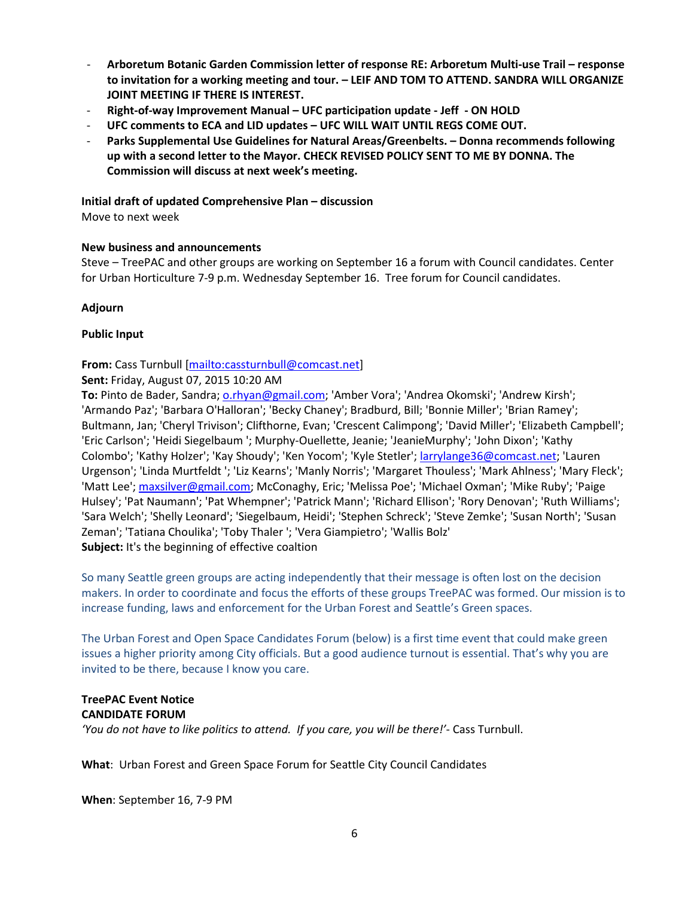- **Arboretum Botanic Garden Commission letter of response RE: Arboretum Multi-use Trail – response to invitation for a working meeting and tour. – LEIF AND TOM TO ATTEND. SANDRA WILL ORGANIZE JOINT MEETING IF THERE IS INTEREST.**
- **Right-of-way Improvement Manual – UFC participation update - Jeff - ON HOLD**
- **UFC comments to ECA and LID updates – UFC WILL WAIT UNTIL REGS COME OUT.**
- **Parks Supplemental Use Guidelines for Natural Areas/Greenbelts. – Donna recommends following up with a second letter to the Mayor. CHECK REVISED POLICY SENT TO ME BY DONNA. The Commission will discuss at next week's meeting.**

## **Initial draft of updated Comprehensive Plan – discussion**

Move to next week

## **New business and announcements**

Steve – TreePAC and other groups are working on September 16 a forum with Council candidates. Center for Urban Horticulture 7-9 p.m. Wednesday September 16. Tree forum for Council candidates.

## **Adjourn**

## **Public Input**

# **From:** Cass Turnbull [\[mailto:cassturnbull@comcast.net\]](mailto:cassturnbull@comcast.net)

**Sent:** Friday, August 07, 2015 10:20 AM

**To:** Pinto de Bader, Sandra[; o.rhyan@gmail.com;](mailto:o.rhyan@gmail.com) 'Amber Vora'; 'Andrea Okomski'; 'Andrew Kirsh'; 'Armando Paz'; 'Barbara O'Halloran'; 'Becky Chaney'; Bradburd, Bill; 'Bonnie Miller'; 'Brian Ramey'; Bultmann, Jan; 'Cheryl Trivison'; Clifthorne, Evan; 'Crescent Calimpong'; 'David Miller'; 'Elizabeth Campbell'; 'Eric Carlson'; 'Heidi Siegelbaum '; Murphy-Ouellette, Jeanie; 'JeanieMurphy'; 'John Dixon'; 'Kathy Colombo'; 'Kathy Holzer'; 'Kay Shoudy'; 'Ken Yocom'; 'Kyle Stetler'[; larrylange36@comcast.net;](mailto:larrylange36@comcast.net) 'Lauren Urgenson'; 'Linda Murtfeldt '; 'Liz Kearns'; 'Manly Norris'; 'Margaret Thouless'; 'Mark Ahlness'; 'Mary Fleck'; 'Matt Lee'; [maxsilver@gmail.com;](mailto:maxsilver@gmail.com) McConaghy, Eric; 'Melissa Poe'; 'Michael Oxman'; 'Mike Ruby'; 'Paige Hulsey'; 'Pat Naumann'; 'Pat Whempner'; 'Patrick Mann'; 'Richard Ellison'; 'Rory Denovan'; 'Ruth Williams'; 'Sara Welch'; 'Shelly Leonard'; 'Siegelbaum, Heidi'; 'Stephen Schreck'; 'Steve Zemke'; 'Susan North'; 'Susan Zeman'; 'Tatiana Choulika'; 'Toby Thaler '; 'Vera Giampietro'; 'Wallis Bolz' **Subject:** It's the beginning of effective coaltion

So many Seattle green groups are acting independently that their message is often lost on the decision makers. In order to coordinate and focus the efforts of these groups TreePAC was formed. Our mission is to increase funding, laws and enforcement for the Urban Forest and Seattle's Green spaces.

The Urban Forest and Open Space Candidates Forum (below) is a first time event that could make green issues a higher priority among City officials. But a good audience turnout is essential. That's why you are invited to be there, because I know you care.

#### **TreePAC Event Notice CANDIDATE FORUM**

*'You do not have to like politics to attend. If you care, you will be there!'*- Cass Turnbull.

**What**: Urban Forest and Green Space Forum for Seattle City Council Candidates

**When**: September 16, 7-9 PM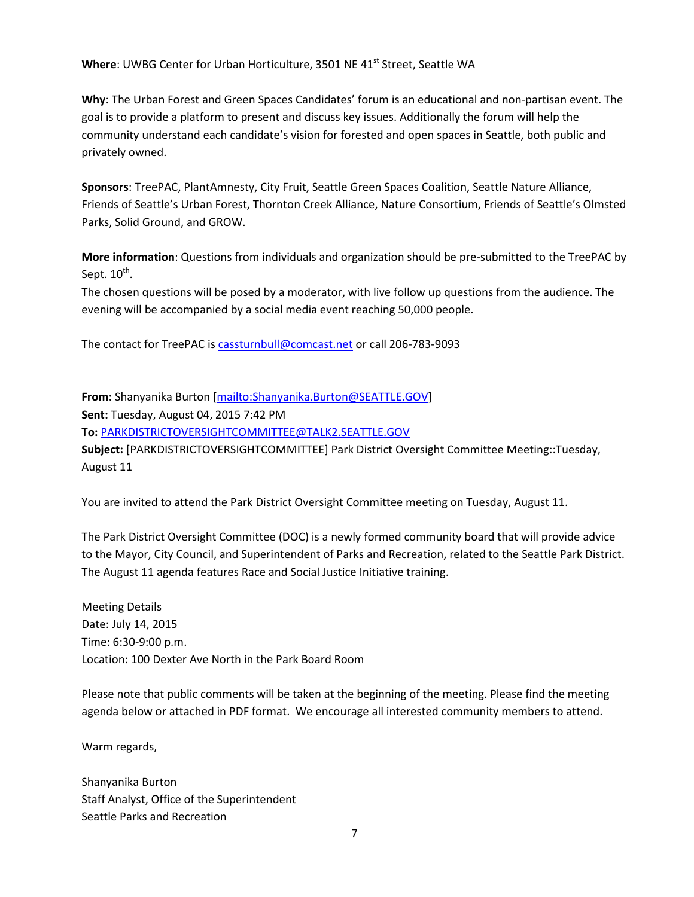**Where: UWBG Center for Urban Horticulture, 3501 NE 41<sup>st</sup> Street, Seattle WA** 

**Why**: The Urban Forest and Green Spaces Candidates' forum is an educational and non-partisan event. The goal is to provide a platform to present and discuss key issues. Additionally the forum will help the community understand each candidate's vision for forested and open spaces in Seattle, both public and privately owned.

**Sponsors**: TreePAC, PlantAmnesty, City Fruit, Seattle Green Spaces Coalition, Seattle Nature Alliance, Friends of Seattle's Urban Forest, Thornton Creek Alliance, Nature Consortium, Friends of Seattle's Olmsted Parks, Solid Ground, and GROW.

**More information**: Questions from individuals and organization should be pre-submitted to the TreePAC by Sept.  $10^{th}$ .

The chosen questions will be posed by a moderator, with live follow up questions from the audience. The evening will be accompanied by a social media event reaching 50,000 people.

The contact for TreePAC i[s cassturnbull@comcast.net](mailto:cassturnbull@comcast.net) or call 206-783-9093

**From:** Shanyanika Burton [\[mailto:Shanyanika.Burton@SEATTLE.GOV\]](mailto:Shanyanika.Burton@SEATTLE.GOV) **Sent:** Tuesday, August 04, 2015 7:42 PM **To:** [PARKDISTRICTOVERSIGHTCOMMITTEE@TALK2.SEATTLE.GOV](mailto:PARKDISTRICTOVERSIGHTCOMMITTEE@TALK2.SEATTLE.GOV) **Subject:** [PARKDISTRICTOVERSIGHTCOMMITTEE] Park District Oversight Committee Meeting::Tuesday, August 11

You are invited to attend the Park District Oversight Committee meeting on Tuesday, August 11.

The Park District Oversight Committee (DOC) is a newly formed community board that will provide advice to the Mayor, City Council, and Superintendent of Parks and Recreation, related to the Seattle Park District. The August 11 agenda features Race and Social Justice Initiative training.

Meeting Details Date: July 14, 2015 Time: 6:30-9:00 p.m. Location: 100 Dexter Ave North in the Park Board Room

Please note that public comments will be taken at the beginning of the meeting. Please find the meeting agenda below or attached in PDF format. We encourage all interested community members to attend.

Warm regards,

Shanyanika Burton Staff Analyst, Office of the Superintendent Seattle Parks and Recreation